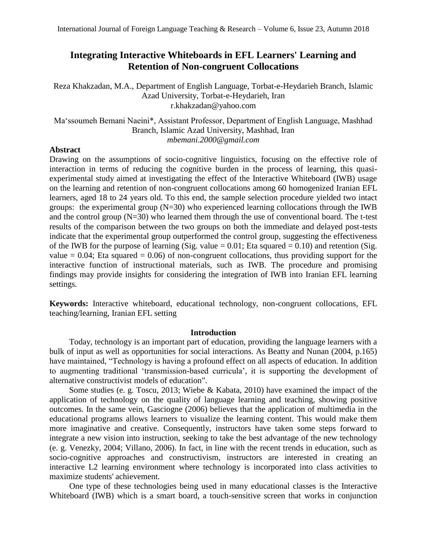# **Integrating Interactive Whiteboards in EFL Learners' Learning and Retention of Non-congruent Collocations**

Reza Khakzadan, M.A., Department of English Language, Torbat-e-Heydarieh Branch, Islamic Azad University, Torbat-e-Heydarieh, Iran r.khakzadan@yahoo.com

Ma'ssoumeh Bemani Naeini\*, Assistant Professor, Department of English Language, Mashhad Branch, Islamic Azad University, Mashhad, Iran *mbemani.2000@gmail.com*

## **Abstract**

Drawing on the assumptions of socio-cognitive linguistics, focusing on the effective role of interaction in terms of reducing the cognitive burden in the process of learning, this quasiexperimental study aimed at investigating the effect of the Interactive Whiteboard (IWB) usage on the learning and retention of non-congruent collocations among 60 homogenized Iranian EFL learners, aged 18 to 24 years old. To this end, the sample selection procedure yielded two intact groups: the experimental group  $(N=30)$  who experienced learning collocations through the IWB and the control group  $(N=30)$  who learned them through the use of conventional board. The t-test results of the comparison between the two groups on both the immediate and delayed post-tests indicate that the experimental group outperformed the control group, suggesting the effectiveness of the IWB for the purpose of learning (Sig. value  $= 0.01$ ; Eta squared  $= 0.10$ ) and retention (Sig. value  $= 0.04$ ; Eta squared  $= 0.06$ ) of non-congruent collocations, thus providing support for the interactive function of instructional materials, such as IWB. The procedure and promising findings may provide insights for considering the integration of IWB into Iranian EFL learning settings.

**Keywords:** Interactive whiteboard, educational technology, non-congruent collocations, EFL teaching/learning, Iranian EFL setting

## **Introduction**

Today, technology is an important part of education, providing the language learners with a bulk of input as well as opportunities for social interactions. As Beatty and Nunan (2004, p.165) have maintained, "Technology is having a profound effect on all aspects of education. In addition to augmenting traditional 'transmission-based curricula', it is supporting the development of alternative constructivist models of education".

Some studies (e. g. Toscu, 2013; Wiebe & Kabata, 2010) have examined the impact of the application of technology on the quality of language learning and teaching, showing positive outcomes. In the same vein, Gasciogne (2006) believes that the application of multimedia in the educational programs allows learners to visualize the learning content. This would make them more imaginative and creative. Consequently, instructors have taken some steps forward to integrate a new vision into instruction, seeking to take the best advantage of the new technology (e. g. Venezky, 2004; Villano, 2006). In fact, in line with the recent trends in education, such as socio-cognitive approaches and constructivism, instructors are interested in creating an interactive L2 learning environment where technology is incorporated into class activities to maximize students' achievement.

One type of these technologies being used in many educational classes is the Interactive Whiteboard (IWB) which is a smart board, a touch-sensitive screen that works in conjunction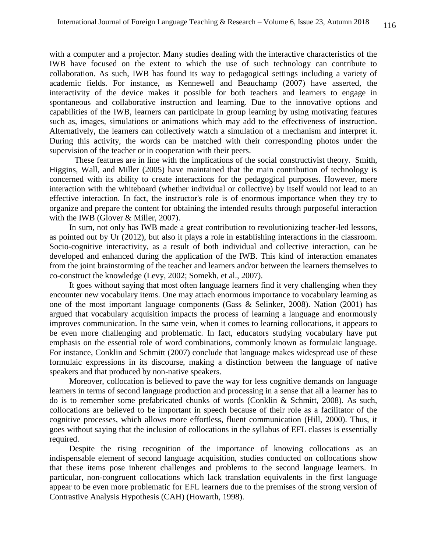with a computer and a projector. Many studies dealing with the interactive characteristics of the IWB have focused on the extent to which the use of such technology can contribute to collaboration. As such, IWB has found its way to pedagogical settings including a variety of academic fields. For instance, as Kennewell and Beauchamp (2007) have asserted, the interactivity of the device makes it possible for both teachers and learners to engage in spontaneous and collaborative instruction and learning. Due to the innovative options and capabilities of the IWB, learners can participate in group learning by using motivating features such as, images, simulations or animations which may add to the effectiveness of instruction. Alternatively, the learners can collectively watch a simulation of a mechanism and interpret it. During this activity, the words can be matched with their corresponding photos under the supervision of the teacher or in cooperation with their peers.

These features are in line with the implications of the social constructivist theory. Smith, Higgins, Wall, and Miller (2005) have maintained that the main contribution of technology is concerned with its ability to create interactions for the pedagogical purposes. However, mere interaction with the whiteboard (whether individual or collective) by itself would not lead to an effective interaction. In fact, the instructor's role is of enormous importance when they try to organize and prepare the content for obtaining the intended results through purposeful interaction with the IWB (Glover & Miller, 2007).

In sum, not only has IWB made a great contribution to revolutionizing teacher-led lessons, as pointed out by Ur (2012), but also it plays a role in establishing interactions in the classroom. Socio-cognitive interactivity, as a result of both individual and collective interaction, can be developed and enhanced during the application of the IWB. This kind of interaction emanates from the joint brainstorming of the teacher and learners and/or between the learners themselves to co-construct the knowledge (Levy, 2002; Somekh, et al., 2007).

It goes without saying that most often language learners find it very challenging when they encounter new vocabulary items. One may attach enormous importance to vocabulary learning as one of the most important language components (Gass & Selinker, 2008). Nation (2001) has argued that vocabulary acquisition impacts the process of learning a language and enormously improves communication. In the same vein, when it comes to learning collocations, it appears to be even more challenging and problematic. In fact, educators studying vocabulary have put emphasis on the essential role of word combinations, commonly known as formulaic language. For instance, Conklin and Schmitt (2007) conclude that language makes widespread use of these formulaic expressions in its discourse, making a distinction between the language of native speakers and that produced by non-native speakers.

Moreover, collocation is believed to pave the way for less cognitive demands on language learners in terms of second language production and processing in a sense that all a learner has to do is to remember some prefabricated chunks of words (Conklin & Schmitt, 2008). As such, collocations are believed to be important in speech because of their role as a facilitator of the cognitive processes, which allows more effortless, fluent communication (Hill, 2000). Thus, it goes without saying that the inclusion of collocations in the syllabus of EFL classes is essentially required.

Despite the rising recognition of the importance of knowing collocations as an indispensable element of second language acquisition, studies conducted on collocations show that these items pose inherent challenges and problems to the second language learners. In particular, non-congruent collocations which lack translation equivalents in the first language appear to be even more problematic for EFL learners due to the premises of the strong version of Contrastive Analysis Hypothesis (CAH) (Howarth, 1998).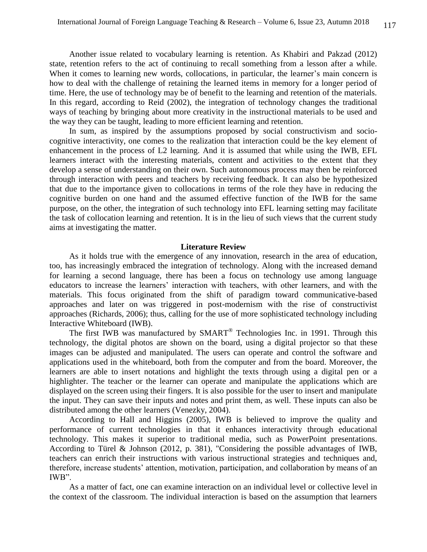Another issue related to vocabulary learning is retention. As Khabiri and Pakzad (2012) state, retention refers to the act of continuing to recall something from a lesson after a while. When it comes to learning new words, collocations, in particular, the learner's main concern is how to deal with the challenge of retaining the learned items in memory for a longer period of time. Here, the use of technology may be of benefit to the learning and retention of the materials. In this regard, according to Reid (2002), the integration of technology changes the traditional ways of teaching by bringing about more creativity in the instructional materials to be used and the way they can be taught, leading to more efficient learning and retention.

In sum, as inspired by the assumptions proposed by social constructivism and sociocognitive interactivity, one comes to the realization that interaction could be the key element of enhancement in the process of L2 learning. And it is assumed that while using the IWB, EFL learners interact with the interesting materials, content and activities to the extent that they develop a sense of understanding on their own. Such autonomous process may then be reinforced through interaction with peers and teachers by receiving feedback. It can also be hypothesized that due to the importance given to collocations in terms of the role they have in reducing the cognitive burden on one hand and the assumed effective function of the IWB for the same purpose, on the other, the integration of such technology into EFL learning setting may facilitate the task of collocation learning and retention. It is in the lieu of such views that the current study aims at investigating the matter.

#### **Literature Review**

As it holds true with the emergence of any innovation, research in the area of education, too, has increasingly embraced the integration of technology. Along with the increased demand for learning a second language, there has been a focus on technology use among language educators to increase the learners' interaction with teachers, with other learners, and with the materials. This focus originated from the shift of paradigm toward communicative-based approaches and later on was triggered in post-modernism with the rise of constructivist approaches (Richards, 2006); thus, calling for the use of more sophisticated technology including Interactive Whiteboard (IWB).

The first IWB was manufactured by SMART<sup>®</sup> Technologies Inc. in 1991. Through this technology, the digital photos are shown on the board, using a digital projector so that these images can be adjusted and manipulated. The users can operate and control the software and applications used in the whiteboard, both from the computer and from the board. Moreover, the learners are able to insert notations and highlight the texts through using a digital pen or a highlighter. The teacher or the learner can operate and manipulate the applications which are displayed on the screen using their fingers. It is also possible for the user to insert and manipulate the input. They can save their inputs and notes and print them, as well. These inputs can also be distributed among the other learners (Venezky, 2004).

According to Hall and Higgins (2005), IWB is believed to improve the quality and performance of current technologies in that it enhances interactivity through educational technology. This makes it superior to traditional media, such as PowerPoint presentations. According to Türel & Johnson (2012, p. 381), "Considering the possible advantages of IWB, teachers can enrich their instructions with various instructional strategies and techniques and, therefore, increase students' attention, motivation, participation, and collaboration by means of an IWB".

As a matter of fact, one can examine interaction on an individual level or collective level in the context of the classroom. The individual interaction is based on the assumption that learners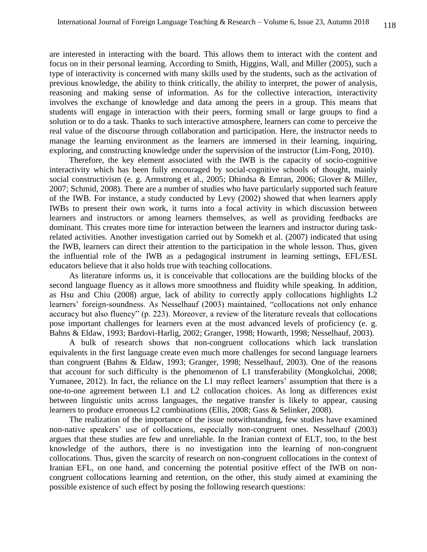are interested in interacting with the board. This allows them to interact with the content and focus on in their personal learning. According to Smith, Higgins, Wall, and Miller (2005), such a type of interactivity is concerned with many skills used by the students, such as the activation of previous knowledge, the ability to think critically, the ability to interpret, the power of analysis, reasoning and making sense of information. As for the collective interaction, interactivity involves the exchange of knowledge and data among the peers in a group. This means that students will engage in interaction with their peers, forming small or large groups to find a solution or to do a task. Thanks to such interactive atmosphere, learners can come to perceive the real value of the discourse through collaboration and participation. Here, the instructor needs to manage the learning environment as the learners are immersed in their learning, inquiring, exploring, and constructing knowledge under the supervision of the instructor (Lim-Fong, 2010).

Therefore, the key element associated with the IWB is the capacity of socio-cognitive interactivity which has been fully encouraged by social-cognitive schools of thought, mainly social constructivism (e. g. Armstrong et al., 2005; Dhindsa & Emran, 2006; Glover & Miller, 2007; Schmid, 2008). There are a number of studies who have particularly supported such feature of the IWB. For instance, a study conducted by Levy (2002) showed that when learners apply IWBs to present their own work, it turns into a focal activity in which discussion between learners and instructors or among learners themselves, as well as providing feedbacks are dominant. This creates more time for interaction between the learners and instructor during taskrelated activities. Another investigation carried out by Somekh et al. (2007) indicated that using the IWB, learners can direct their attention to the participation in the whole lesson. Thus, given the influential role of the IWB as a pedagogical instrument in learning settings, EFL/ESL educators believe that it also holds true with teaching collocations.

As literature informs us, it is conceivable that collocations are the building blocks of the second language fluency as it allows more smoothness and fluidity while speaking. In addition, as Hsu and Chiu (2008) argue, lack of ability to correctly apply collocations highlights L2 learners' foreign-soundness. As Nesselhauf (2003) maintained, "collocations not only enhance accuracy but also fluency" (p. 223). Moreover, a review of the literature reveals that collocations pose important challenges for learners even at the most advanced levels of proficiency (e. g. Bahns & Eldaw, 1993; Bardovi-Harlig, 2002; Granger, 1998; Howarth, 1998; Nesselhauf, 2003).

A bulk of research shows that non-congruent collocations which lack translation equivalents in the first language create even much more challenges for second language learners than congruent (Bahns & Eldaw, 1993; Granger, 1998; Nesselhauf, 2003). One of the reasons that account for such difficulty is the phenomenon of L1 transferability (Mongkolchai, 2008; Yumanee, 2012). In fact, the reliance on the L1 may reflect learners' assumption that there is a one-to-one agreement between L1 and L2 collocation choices. As long as differences exist between linguistic units across languages, the negative transfer is likely to appear, causing learners to produce erroneous L2 combinations (Ellis, 2008; Gass & Selinker, 2008).

The realization of the importance of the issue notwithstanding, few studies have examined non-native speakers' use of collocations, especially non-congruent ones. Nesselhauf (2003) argues that these studies are few and unreliable. In the Iranian context of ELT, too, to the best knowledge of the authors, there is no investigation into the learning of non-congruent collocations. Thus, given the scarcity of research on non-congruent collocations in the context of Iranian EFL, on one hand, and concerning the potential positive effect of the IWB on noncongruent collocations learning and retention, on the other, this study aimed at examining the possible existence of such effect by posing the following research questions: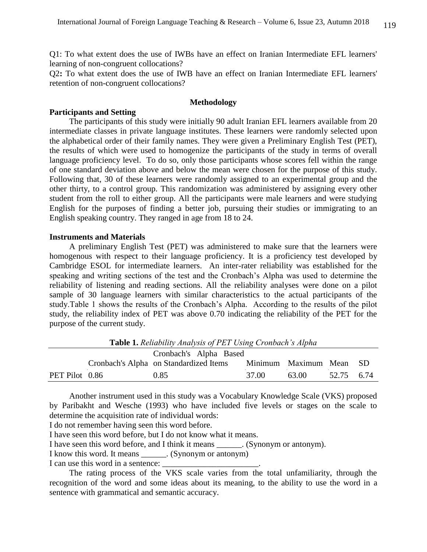Q1: To what extent does the use of IWBs have an effect on Iranian Intermediate EFL learners' learning of non-congruent collocations?

Q2**:** To what extent does the use of IWB have an effect on Iranian Intermediate EFL learners' retention of non-congruent collocations?

#### **Methodology**

## **Participants and Setting**

The participants of this study were initially 90 adult Iranian EFL learners available from 20 intermediate classes in private language institutes. These learners were randomly selected upon the alphabetical order of their family names. They were given a Preliminary English Test (PET), the results of which were used to homogenize the participants of the study in terms of overall language proficiency level. To do so, only those participants whose scores fell within the range of one standard deviation above and below the mean were chosen for the purpose of this study. Following that, 30 of these learners were randomly assigned to an experimental group and the other thirty, to a control group. This randomization was administered by assigning every other student from the roll to either group. All the participants were male learners and were studying English for the purposes of finding a better job, pursuing their studies or immigrating to an English speaking country. They ranged in age from 18 to 24.

## **Instruments and Materials**

A preliminary English Test (PET) was administered to make sure that the learners were homogenous with respect to their language proficiency. It is a proficiency test developed by Cambridge ESOL for intermediate learners. An inter-rater reliability was established for the speaking and writing sections of the test and the Cronbach's Alpha was used to determine the reliability of listening and reading sections. All the reliability analyses were done on a pilot sample of 30 language learners with similar characteristics to the actual participants of the study.Table 1 shows the results of the Cronbach's Alpha. According to the results of the pilot study, the reliability index of PET was above 0.70 indicating the reliability of the PET for the purpose of the current study.

|                        | <b>Table 1.</b> Reliability Analysis of PET Using Cronbach S Alpha |                                        |       |                         |            |  |  |  |  |  |
|------------------------|--------------------------------------------------------------------|----------------------------------------|-------|-------------------------|------------|--|--|--|--|--|
| Cronbach's Alpha Based |                                                                    |                                        |       |                         |            |  |  |  |  |  |
|                        |                                                                    | Cronbach's Alpha on Standardized Items |       | Minimum Maximum Mean SD |            |  |  |  |  |  |
| PET Pilot 0.86         |                                                                    | 0.85                                   | 37.00 | 63.00                   | 52.75 6.74 |  |  |  |  |  |

**Table 1.** *Reliability Analysis of PET Using Cronbach's Alpha*

Another instrument used in this study was a Vocabulary Knowledge Scale (VKS) proposed by Paribakht and Wesche (1993) who have included five levels or stages on the scale to determine the acquisition rate of individual words:

I do not remember having seen this word before.

I have seen this word before, but I do not know what it means.

I have seen this word before, and I think it means \_\_\_\_\_\_. (Synonym or antonym).

I know this word. It means \_\_\_\_\_\_. (Synonym or antonym)

I can use this word in a sentence:

The rating process of the VKS scale varies from the total unfamiliarity, through the recognition of the word and some ideas about its meaning, to the ability to use the word in a sentence with grammatical and semantic accuracy.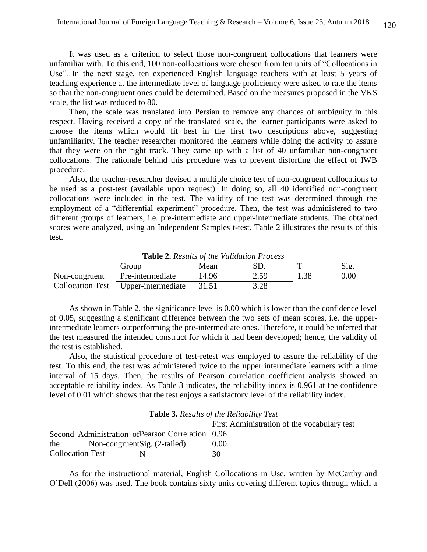It was used as a criterion to select those non-congruent collocations that learners were unfamiliar with. To this end, 100 non-collocations were chosen from ten units of "Collocations in Use". In the next stage, ten experienced English language teachers with at least 5 years of teaching experience at the intermediate level of language proficiency were asked to rate the items so that the non-congruent ones could be determined. Based on the measures proposed in the VKS scale, the list was reduced to 80.

Then, the scale was translated into Persian to remove any chances of ambiguity in this respect. Having received a copy of the translated scale, the learner participants were asked to choose the items which would fit best in the first two descriptions above, suggesting unfamiliarity. The teacher researcher monitored the learners while doing the activity to assure that they were on the right track. They came up with a list of 40 unfamiliar non-congruent collocations. The rationale behind this procedure was to prevent distorting the effect of IWB procedure.

Also, the teacher-researcher devised a multiple choice test of non-congruent collocations to be used as a post-test (available upon request). In doing so, all 40 identified non-congruent collocations were included in the test. The validity of the test was determined through the employment of a "differential experiment" procedure. Then, the test was administered to two different groups of learners, i.e. pre-intermediate and upper-intermediate students. The obtained scores were analyzed, using an Independent Samples t-test. Table 2 illustrates the results of this test.

| <b>Lable 2.</b> Results by the validation 1 Focess |                                     |       |      |      |      |  |  |  |
|----------------------------------------------------|-------------------------------------|-------|------|------|------|--|--|--|
|                                                    | Group                               | Mean  |      |      | Sig. |  |  |  |
| Non-congruent                                      | Pre-intermediate                    | 14.96 | 2.59 | 1.38 | 0.00 |  |  |  |
|                                                    | Collocation Test Upper-intermediate | 31.51 | 3.28 |      |      |  |  |  |

**Table 2.** *Results of the Validation Process*

As shown in Table 2, the significance level is 0.00 which is lower than the confidence level of 0.05, suggesting a significant difference between the two sets of mean scores, i.e. the upperintermediate learners outperforming the pre-intermediate ones. Therefore, it could be inferred that the test measured the intended construct for which it had been developed; hence, the validity of the test is established.

Also, the statistical procedure of test-retest was employed to assure the reliability of the test. To this end, the test was administered twice to the upper intermediate learners with a time interval of 15 days. Then, the results of Pearson correlation coefficient analysis showed an acceptable reliability index. As Table 3 indicates, the reliability index is 0.961 at the confidence level of 0.01 which shows that the test enjoys a satisfactory level of the reliability index.

| <b>Table 3.</b> Results of the Reliability Test   |                                             |  |  |  |  |  |
|---------------------------------------------------|---------------------------------------------|--|--|--|--|--|
|                                                   | First Administration of the vocabulary test |  |  |  |  |  |
| Second Administration of Pearson Correlation 0.96 |                                             |  |  |  |  |  |
| the<br>Non-congruent Sig. (2-tailed)              | $0.00\,$                                    |  |  |  |  |  |
| <b>Collocation Test</b>                           | 30                                          |  |  |  |  |  |

**Table 3.** *Results of the Reliability Test*

As for the instructional material, English Collocations in Use, written by McCarthy and O'Dell (2006) was used. The book contains sixty units covering different topics through which a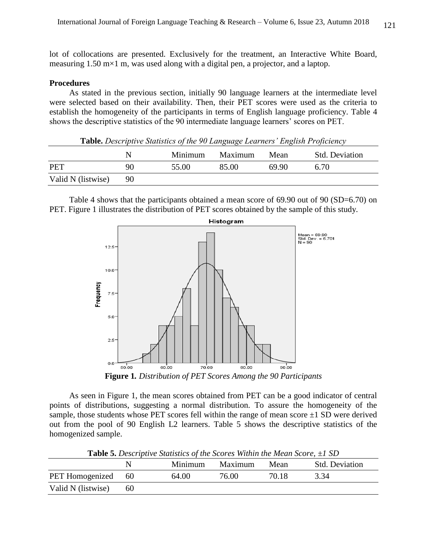lot of collocations are presented. Exclusively for the treatment, an Interactive White Board, measuring 1.50 m×1 m, was used along with a digital pen, a projector, and a laptop.

## **Procedures**

As stated in the previous section, initially 90 language learners at the intermediate level were selected based on their availability. Then, their PET scores were used as the criteria to establish the homogeneity of the participants in terms of English language proficiency. Table 4 shows the descriptive statistics of the 90 intermediate language learners' scores on PET.

| <b>Table.</b> Descriptive Statistics of the 90 Language Learners' English Proficiency |    |         |         |       |                       |  |  |  |
|---------------------------------------------------------------------------------------|----|---------|---------|-------|-----------------------|--|--|--|
|                                                                                       | N  | Minimum | Maximum | Mean  | <b>Std. Deviation</b> |  |  |  |
| <b>PET</b>                                                                            | 90 | 55.00   | 85.00   | 69.90 | 6.70                  |  |  |  |
| Valid N (listwise)                                                                    | 90 |         |         |       |                       |  |  |  |

Table 4 shows that the participants obtained a mean score of 69.90 out of 90 (SD=6.70) on PET. Figure 1 illustrates the distribution of PET scores obtained by the sample of this study.



**Figure 1***. Distribution of PET Scores Among the 90 Participants*

As seen in Figure 1, the mean scores obtained from PET can be a good indicator of central points of distributions, suggesting a normal distribution. To assure the homogeneity of the sample, those students whose PET scores fell within the range of mean score  $\pm 1$  SD were derived out from the pool of 90 English L2 learners. Table 5 shows the descriptive statistics of the homogenized sample.

|                        |    | Minimum | Maximum | Mean  | <b>Std. Deviation</b> |
|------------------------|----|---------|---------|-------|-----------------------|
| <b>PET</b> Homogenized | 60 | 64.00   | 76.00   | 70.18 | 3.34                  |
| Valid N (listwise)     | 60 |         |         |       |                       |

**Table 5.** *Descriptive Statistics of the Scores Within the Mean Score, ±1 SD*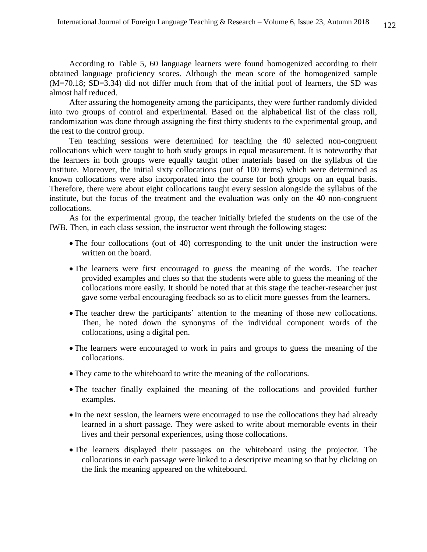According to Table 5, 60 language learners were found homogenized according to their obtained language proficiency scores. Although the mean score of the homogenized sample (M=70.18; SD=3.34) did not differ much from that of the initial pool of learners, the SD was almost half reduced.

After assuring the homogeneity among the participants, they were further randomly divided into two groups of control and experimental. Based on the alphabetical list of the class roll, randomization was done through assigning the first thirty students to the experimental group, and the rest to the control group.

Ten teaching sessions were determined for teaching the 40 selected non-congruent collocations which were taught to both study groups in equal measurement. It is noteworthy that the learners in both groups were equally taught other materials based on the syllabus of the Institute. Moreover, the initial sixty collocations (out of 100 items) which were determined as known collocations were also incorporated into the course for both groups on an equal basis. Therefore, there were about eight collocations taught every session alongside the syllabus of the institute, but the focus of the treatment and the evaluation was only on the 40 non-congruent collocations.

As for the experimental group, the teacher initially briefed the students on the use of the IWB. Then, in each class session, the instructor went through the following stages:

- The four collocations (out of 40) corresponding to the unit under the instruction were written on the board.
- The learners were first encouraged to guess the meaning of the words. The teacher provided examples and clues so that the students were able to guess the meaning of the collocations more easily. It should be noted that at this stage the teacher-researcher just gave some verbal encouraging feedback so as to elicit more guesses from the learners.
- The teacher drew the participants' attention to the meaning of those new collocations. Then, he noted down the synonyms of the individual component words of the collocations, using a digital pen.
- The learners were encouraged to work in pairs and groups to guess the meaning of the collocations.
- They came to the whiteboard to write the meaning of the collocations.
- The teacher finally explained the meaning of the collocations and provided further examples.
- In the next session, the learners were encouraged to use the collocations they had already learned in a short passage. They were asked to write about memorable events in their lives and their personal experiences, using those collocations.
- The learners displayed their passages on the whiteboard using the projector. The collocations in each passage were linked to a descriptive meaning so that by clicking on the link the meaning appeared on the whiteboard.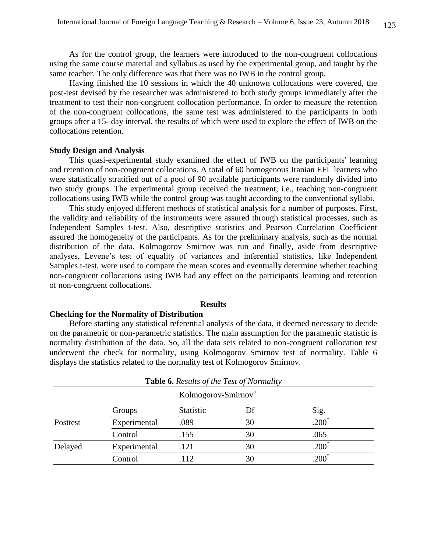As for the control group, the learners were introduced to the non-congruent collocations using the same course material and syllabus as used by the experimental group, and taught by the same teacher. The only difference was that there was no IWB in the control group.

Having finished the 10 sessions in which the 40 unknown collocations were covered, the post-test devised by the researcher was administered to both study groups immediately after the treatment to test their non-congruent collocation performance. In order to measure the retention of the non-congruent collocations, the same test was administered to the participants in both groups after a 15- day interval, the results of which were used to explore the effect of IWB on the collocations retention.

## **Study Design and Analysis**

This quasi-experimental study examined the effect of IWB on the participants' learning and retention of non-congruent collocations. A total of 60 homogenous Iranian EFL learners who were statistically stratified out of a pool of 90 available participants were randomly divided into two study groups. The experimental group received the treatment; i.e., teaching non-congruent collocations using IWB while the control group was taught according to the conventional syllabi.

This study enjoyed different methods of statistical analysis for a number of purposes. First, the validity and reliability of the instruments were assured through statistical processes, such as Independent Samples t-test. Also, descriptive statistics and Pearson Correlation Coefficient assured the homogeneity of the participants. As for the preliminary analysis, such as the normal distribution of the data, Kolmogorov Smirnov was run and finally, aside from descriptive analyses, Levene's test of equality of variances and inferential statistics, like Independent Samples t-test, were used to compare the mean scores and eventually determine whether teaching non-congruent collocations using IWB had any effect on the participants' learning and retention of non-congruent collocations.

## **Results**

#### **Checking for the Normality of Distribution**

Before starting any statistical referential analysis of the data, it deemed necessary to decide on the parametric or non-parametric statistics. The main assumption for the parametric statistic is normality distribution of the data. So, all the data sets related to non-congruent collocation test underwent the check for normality, using Kolmogorov Smirnov test of normality. Table 6 displays the statistics related to the normality test of Kolmogorov Smirnov.

|          |              | Kolmogorov-Smirnov <sup>a</sup> |    |          |
|----------|--------------|---------------------------------|----|----------|
|          | Groups       | <b>Statistic</b>                | Df | Sig.     |
| Posttest | Experimental | .089                            | 30 | $.200*$  |
|          | Control      | .155                            | 30 | .065     |
| Delayed  | Experimental | .121                            | 30 | $.200^*$ |
|          | Control      | .112                            | 30 | $.200*$  |

**Table 6.** *Results of the Test of Normality*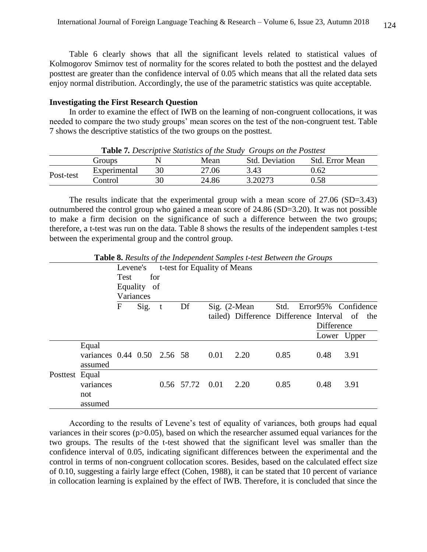Table 6 clearly shows that all the significant levels related to statistical values of Kolmogorov Smirnov test of normality for the scores related to both the posttest and the delayed posttest are greater than the confidence interval of 0.05 which means that all the related data sets enjoy normal distribution. Accordingly, the use of the parametric statistics was quite acceptable.

## **Investigating the First Research Question**

In order to examine the effect of IWB on the learning of non-congruent collocations, it was needed to compare the two study groups' mean scores on the test of the non-congruent test. Table 7 shows the descriptive statistics of the two groups on the posttest.

|           | Groups       |    | Mean  | $\sim$ while it is then there is the second of the state $\sim$ . On the state is the second second second second second second second second second second second second second second second second second second second second<br><b>Std. Deviation</b> | Std. Error Mean |
|-----------|--------------|----|-------|------------------------------------------------------------------------------------------------------------------------------------------------------------------------------------------------------------------------------------------------------------|-----------------|
| Post-test | Experimental | 30 | 27.06 | 3.43                                                                                                                                                                                                                                                       | 0.62            |
|           | Control      | 30 | 24.86 | 3.20273                                                                                                                                                                                                                                                    | 0.58            |

**Table 7***. Descriptive Statistics of the Study Groups on the Posttest*

The results indicate that the experimental group with a mean score of 27.06 (SD=3.43) outnumbered the control group who gained a mean score of 24.86 (SD=3.20). It was not possible to make a firm decision on the significance of such a difference between the two groups; therefore, a t-test was run on the data. Table 8 shows the results of the independent samples t-test between the experimental group and the control group.

|                |                                                 | Levene's<br><b>Test</b> | for         |   |                 | t-test for Equality of Means |                                               |      |            |                     |
|----------------|-------------------------------------------------|-------------------------|-------------|---|-----------------|------------------------------|-----------------------------------------------|------|------------|---------------------|
|                |                                                 | Variances               | Equality of |   |                 |                              |                                               |      |            |                     |
|                |                                                 | $\mathbf{F}$            | Sig.        | t | Df              | $Sig.$ (2-Mean               |                                               | Std. |            | Error95% Confidence |
|                |                                                 |                         |             |   |                 |                              | tailed) Difference Difference Interval of the |      | Difference |                     |
|                |                                                 |                         |             |   |                 |                              |                                               |      |            | Lower Upper         |
|                | Equal<br>variances 0.44 0.50 2.56 58<br>assumed |                         |             |   |                 | 0.01                         | 2.20                                          | 0.85 | 0.48       | 3.91                |
| Posttest Equal | variances<br>not<br>assumed                     |                         |             |   | 0.56 57.72 0.01 |                              | 2.20                                          | 0.85 | 0.48       | 3.91                |

**Table 8.** *Results of the Independent Samples t-test Between the Groups*

According to the results of Levene's test of equality of variances, both groups had equal variances in their scores ( $p > 0.05$ ), based on which the researcher assumed equal variances for the two groups. The results of the t-test showed that the significant level was smaller than the confidence interval of 0.05, indicating significant differences between the experimental and the control in terms of non-congruent collocation scores. Besides, based on the calculated effect size of 0.10, suggesting a fairly large effect (Cohen, 1988), it can be stated that 10 percent of variance in collocation learning is explained by the effect of IWB. Therefore, it is concluded that since the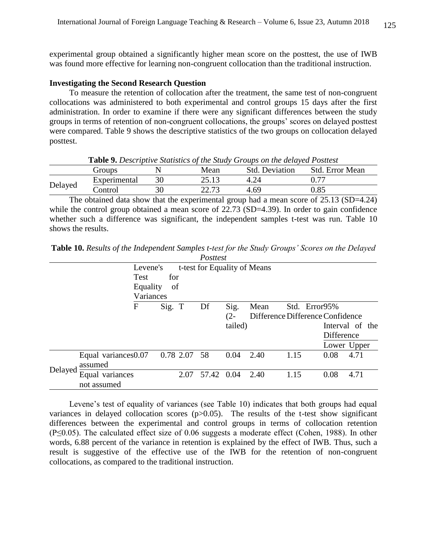experimental group obtained a significantly higher mean score on the posttest, the use of IWB was found more effective for learning non-congruent collocation than the traditional instruction.

## **Investigating the Second Research Question**

To measure the retention of collocation after the treatment, the same test of non-congruent collocations was administered to both experimental and control groups 15 days after the first administration. In order to examine if there were any significant differences between the study groups in terms of retention of non-congruent collocations, the groups' scores on delayed posttest were compared. Table 9 shows the descriptive statistics of the two groups on collocation delayed posttest.

Groups N Mean Std. Deviation Std. Error Mean Delayed Experimental 30 25.13 4.24 0.77 Control 30 22.73 4.69 0.85

**Table 9.** *Descriptive Statistics of the Study Groups on the delayed Posttest*

The obtained data show that the experimental group had a mean score of 25.13 (SD=4.24) while the control group obtained a mean score of 22.73 (SD=4.39). In order to gain confidence whether such a difference was significant, the independent samples t-test was run. Table 10 shows the results.

|         |             |                     |           |      | Posttest |         |                              |      |                                  |                 |
|---------|-------------|---------------------|-----------|------|----------|---------|------------------------------|------|----------------------------------|-----------------|
|         |             | Levene's            |           |      |          |         | t-test for Equality of Means |      |                                  |                 |
|         |             | <b>Test</b>         | for       |      |          |         |                              |      |                                  |                 |
|         |             | Equality            | of        |      |          |         |                              |      |                                  |                 |
|         |             | Variances           |           |      |          |         |                              |      |                                  |                 |
|         |             | $\mathbf F$         | Sig. T    |      | Df       | Sig.    | Mean                         |      | Std. Error95%                    |                 |
|         |             |                     |           |      |          | $(2 -$  |                              |      | Difference Difference Confidence |                 |
|         |             |                     |           |      |          | tailed) |                              |      |                                  | Interval of the |
|         |             |                     |           |      |          |         |                              |      | Difference                       |                 |
|         |             |                     |           |      |          |         |                              |      | Lower Upper                      |                 |
|         |             | Equal variances0.07 | 0.78 2.07 |      | 58       | 0.04    | 2.40                         | 1.15 | 0.08                             | 4.71            |
|         | assumed     |                     |           |      |          |         |                              |      |                                  |                 |
| Delayed |             | Equal variances     |           | 2.07 | 57.42    | 0.04    | 2.40                         | 1.15 | 0.08                             | 4.71            |
|         | not assumed |                     |           |      |          |         |                              |      |                                  |                 |

**Table 10.** *Results of the Independent Samples t-test for the Study Groups' Scores on the Delayed* 

Levene's test of equality of variances (see Table 10) indicates that both groups had equal variances in delayed collocation scores  $(p>0.05)$ . The results of the t-test show significant differences between the experimental and control groups in terms of collocation retention (P≤0.05). The calculated effect size of 0.06 suggests a moderate effect (Cohen, 1988). In other words, 6.88 percent of the variance in retention is explained by the effect of IWB. Thus, such a result is suggestive of the effective use of the IWB for the retention of non-congruent collocations, as compared to the traditional instruction.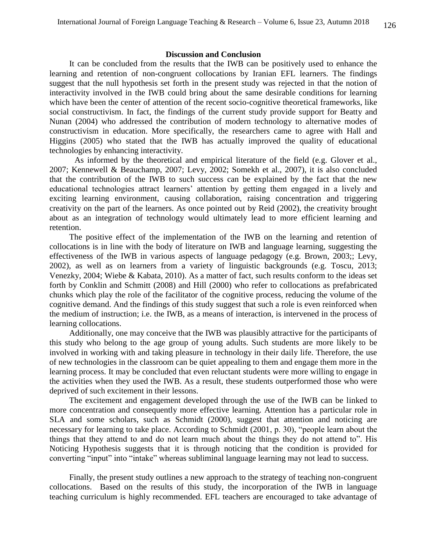## **Discussion and Conclusion**

It can be concluded from the results that the IWB can be positively used to enhance the learning and retention of non-congruent collocations by Iranian EFL learners. The findings suggest that the null hypothesis set forth in the present study was rejected in that the notion of interactivity involved in the IWB could bring about the same desirable conditions for learning which have been the center of attention of the recent socio-cognitive theoretical frameworks, like social constructivism. In fact, the findings of the current study provide support for Beatty and Nunan (2004) who addressed the contribution of modern technology to alternative modes of constructivism in education. More specifically, the researchers came to agree with Hall and Higgins (2005) who stated that the IWB has actually improved the quality of educational technologies by enhancing interactivity.

As informed by the theoretical and empirical literature of the field (e.g. Glover et al., 2007; Kennewell & Beauchamp, 2007; Levy, 2002; Somekh et al., 2007), it is also concluded that the contribution of the IWB to such success can be explained by the fact that the new educational technologies attract learners' attention by getting them engaged in a lively and exciting learning environment, causing collaboration, raising concentration and triggering creativity on the part of the learners. As once pointed out by Reid (2002), the creativity brought about as an integration of technology would ultimately lead to more efficient learning and retention.

The positive effect of the implementation of the IWB on the learning and retention of collocations is in line with the body of literature on IWB and language learning, suggesting the effectiveness of the IWB in various aspects of language pedagogy (e.g. Brown, 2003;; Levy, 2002), as well as on learners from a variety of linguistic backgrounds (e.g. Toscu, 2013; Venezky, 2004; Wiebe & Kabata, 2010). As a matter of fact, such results conform to the ideas set forth by Conklin and Schmitt (2008) and Hill (2000) who refer to collocations as prefabricated chunks which play the role of the facilitator of the cognitive process, reducing the volume of the cognitive demand. And the findings of this study suggest that such a role is even reinforced when the medium of instruction; i.e. the IWB, as a means of interaction, is intervened in the process of learning collocations.

Additionally, one may conceive that the IWB was plausibly attractive for the participants of this study who belong to the age group of young adults. Such students are more likely to be involved in working with and taking pleasure in technology in their daily life. Therefore, the use of new technologies in the classroom can be quiet appealing to them and engage them more in the learning process. It may be concluded that even reluctant students were more willing to engage in the activities when they used the IWB. As a result, these students outperformed those who were deprived of such excitement in their lessons.

The excitement and engagement developed through the use of the IWB can be linked to more concentration and consequently more effective learning. Attention has a particular role in SLA and some scholars, such as Schmidt (2000), suggest that attention and noticing are necessary for learning to take place. According to Schmidt (2001, p. 30), "people learn about the things that they attend to and do not learn much about the things they do not attend to". His Noticing Hypothesis suggests that it is through noticing that the condition is provided for converting "input" into "intake" whereas subliminal language learning may not lead to success.

Finally, the present study outlines a new approach to the strategy of teaching non-congruent collocations. Based on the results of this study, the incorporation of the IWB in language teaching curriculum is highly recommended. EFL teachers are encouraged to take advantage of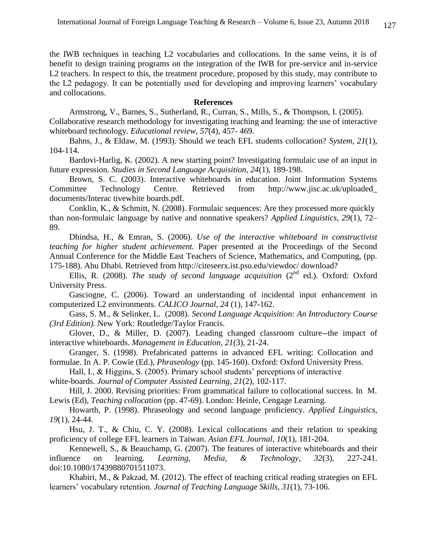the IWB techniques in teaching L2 vocabularies and collocations. In the same veins, it is of benefit to design training programs on the integration of the IWB for pre-service and in-service L<sub>2</sub> teachers. In respect to this, the treatment procedure, proposed by this study, may contribute to the L2 pedagogy. It can be potentially used for developing and improving learners' vocabulary and collocations.

## **References**

Armstrong, V., Barnes, S., Sutherland, R., Curran, S., Mills, S., & Thompson, I. (2005). Collaborative research methodology for investigating teaching and learning: the use of interactive whiteboard technology. *Educational review, 57*(4), 457- 469.

Bahns, J., & Eldaw, M. (1993). Should we teach EFL students collocation? *System, 21*(1), 104-114.

Bardovi-Harlig, K. (2002). A new starting point? Investigating formulaic use of an input in future expression. *Studies in Second Language Acquisition, 24*(1), 189-198.

Brown, S. C. (2003). Interactive whiteboards in education. Joint Information Systems Committee Technology Centre. Retrieved from [http://www.jisc.ac.uk/uploaded\\_](http://www.jisc.ac.uk/uploaded_documents/Interactivewhiteboards.pdf) [documents/Interac](http://www.jisc.ac.uk/uploaded_documents/Interactivewhiteboards.pdf) tivewhite boards.pdf.

Conklin, K., & Schmitt, N. (2008). Formulaic sequences: Are they processed more quickly than non-formulaic language by native and nonnative speakers? *Applied Linguistics, 29*(1), 72– 89.

Dhindsa, H., & Emran, S. (2006). *Use of the interactive whiteboard in constructivist teaching for higher student achievement.* Paper presented at the Proceedings of the Second Annual Conference for the Middle East Teachers of Science, Mathematics, and Computing, (pp. 175-188). Abu Dhabi. Retrieved from [http://citeseerx.ist.psu.edu/viewdoc/ download?](http://citeseerx.ist.psu.edu/viewdoc/%20download?%20doi:10.1.1.%20100.%202093&rep=rep1&type=pdf) 

Ellis, R. (2008). *The study of second language acquisition* (2<sup>nd</sup> ed.). Oxford: Oxford University Press.

Gasciogne, C. (2006). Toward an understanding of incidental input enhancement in computerized L2 environments. *CALICO Journal, 24* (1), 147-162.

Gass, S. M., & Selinker, L. (2008). *Second Language Acquisition: An Introductory Course (3rd Edition).* New York: Routledge/Taylor Francis.

Glover, D., & Miller, D. (2007). Leading changed classroom culture--the impact of interactive whiteboards. *Management in Education, 21*(3), 21-24.

Granger, S. (1998). Prefabricated patterns in advanced EFL writing: Collocation and formulae. In A. P. Cowie (Ed.), *Phraseology* (pp. 145-160). Oxford: Oxford University Press.

Hall, I., & Higgins, S. (2005). Primary school students' perceptions of interactive

white-boards. *Journal of Computer Assisted Learning*, *21*(2), 102-117.

Hill, J. 2000. Revising priorities: From grammatical failure to collocational success. In M. Lewis (Ed), *Teaching collocation* (pp. 47-69). London: Heinle, Cengage Learning.

Howarth, P. (1998). Phraseology and second language proficiency. *Applied Linguistics, 19*(1), 24-44.

Hsu, J. T., & Chiu, C. Y. (2008). Lexical collocations and their relation to speaking proficiency of college EFL learners in Taiwan. *Asian EFL Journal, 10*(1), 181-204.

Kennewell, S., & Beauchamp, G. (2007). The features of interactive whiteboards and their influence on learning. *Learning, Media, & Technology, 32*(3), 227-241. doi:10.1080/17439880701511073.

Khabiri, M., & Pakzad, M. (2012). The effect of teaching critical reading strategies on EFL learners' vocabulary retention. *Journal of Teaching Language Skills, 31*(1), 73-106.